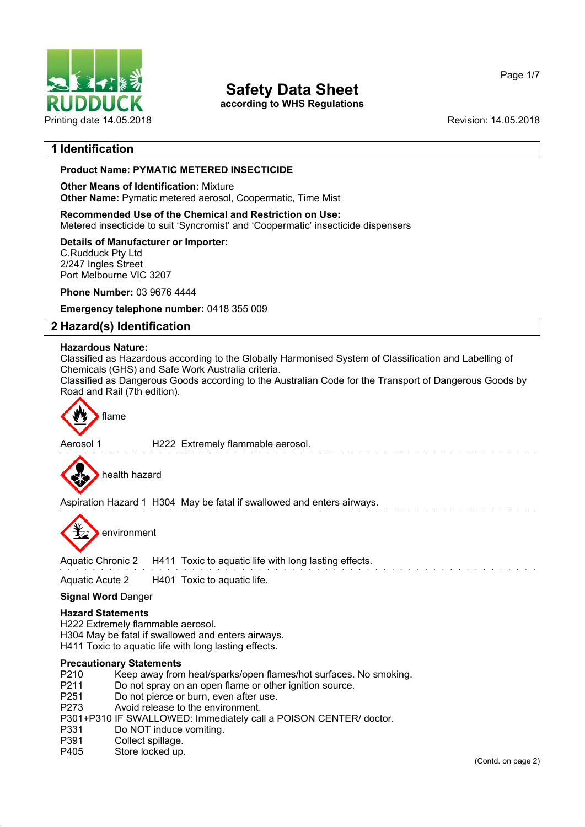

**according to WHS Regulations**

Page 1/7

# **1 Identification**

# **Product Name: PYMATIC METERED INSECTICIDE**

#### **Other Means of Identification:** Mixture **Other Name:** Pymatic metered aerosol, Coopermatic, Time Mist

**Recommended Use of the Chemical and Restriction on Use:** Metered insecticide to suit 'Syncromist' and 'Coopermatic' insecticide dispensers

# **Details of Manufacturer or Importer:**

C.Rudduck Pty Ltd 2/247 Ingles Street Port Melbourne VIC 3207

**Phone Number:** 03 9676 4444

**Emergency telephone number:** 0418 355 009

# **2 Hazard(s) Identification**

#### **Hazardous Nature:**

Classified as Hazardous according to the Globally Harmonised System of Classification and Labelling of Chemicals (GHS) and Safe Work Australia criteria.

Classified as Dangerous Goods according to the Australian Code for the Transport of Dangerous Goods by Road and Rail (7th edition).



Aerosol 1 **H222** Extremely flammable aerosol.



Aspiration Hazard 1 H304 May be fatal if swallowed and enters airways.

environment

Aquatic Chronic 2 H411 Toxic to aquatic life with long lasting effects.

Aquatic Acute 2 H401 Toxic to aquatic life.

#### **Signal Word** Danger

#### **Hazard Statements**

H222 Extremely flammable aerosol. H304 May be fatal if swallowed and enters airways. H411 Toxic to aquatic life with long lasting effects.

#### **Precautionary Statements**

- P210 Keep away from heat/sparks/open flames/hot surfaces. No smoking.<br>P211 Do not spray on an open flame or other ignition source.
- P211 Do not spray on an open flame or other ignition source.<br>P251 Do not pierce or burn even after use
- Do not pierce or burn, even after use.
- P273 Avoid release to the environment.
- P301+P310 IF SWALLOWED: Immediately call a POISON CENTER/ doctor.
- P331 Do NOT induce vomiting.
- P391 Collect spillage.
- P405 Store locked up.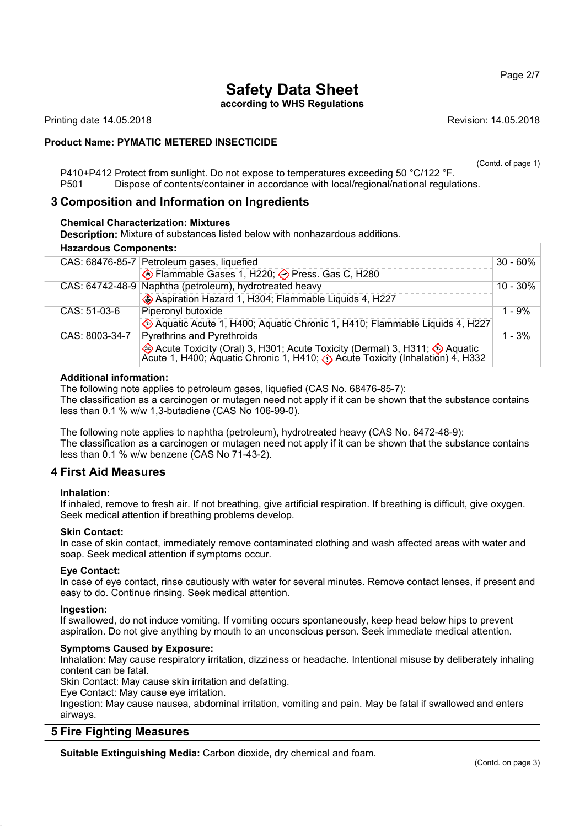Page 2/7

# **Safety Data Sheet according to WHS Regulations**

Printing date 14.05.2018 Revision: 14.05.2018

# **Product Name: PYMATIC METERED INSECTICIDE**

(Contd. of page 1)

P410+P412 Protect from sunlight. Do not expose to temperatures exceeding 50 °C/122 °F. P501 Dispose of contents/container in accordance with local/regional/national regulations.

# **3 Composition and Information on Ingredients**

#### **Chemical Characterization: Mixtures**

**Description:** Mixture of substances listed below with nonhazardous additions.

| <b>Hazardous Components:</b> |                                                                                                                                                                           |             |
|------------------------------|---------------------------------------------------------------------------------------------------------------------------------------------------------------------------|-------------|
|                              | CAS: 68476-85-7 Petroleum gases, liquefied                                                                                                                                | $30 - 60\%$ |
|                              | ♦ Flammable Gases 1, H220; ♦ Press. Gas C, H280                                                                                                                           |             |
|                              | CAS: 64742-48-9 Naphtha (petroleum), hydrotreated heavy                                                                                                                   | $10 - 30\%$ |
|                              | Aspiration Hazard 1, H304; Flammable Liquids 4, H227                                                                                                                      |             |
| CAS: 51-03-6                 | Piperonyl butoxide                                                                                                                                                        | $1 - 9%$    |
|                              | Aquatic Acute 1, H400; Aquatic Chronic 1, H410; Flammable Liquids 4, H227                                                                                                 |             |
| CAS: 8003-34-7               | <b>Pyrethrins and Pyrethroids</b>                                                                                                                                         | $1 - 3%$    |
|                              | Acute Toxicity (Oral) 3, H301; Acute Toxicity (Dermal) 3, H311; $\bigcirc$ Aquatic Acute 1, H400; Aquatic Chronic 1, H410; $\bigcirc$ Acute Toxicity (Inhalation) 4, H332 |             |

#### **Additional information:**

The following note applies to petroleum gases, liquefied (CAS No. 68476-85-7): The classification as a carcinogen or mutagen need not apply if it can be shown that the substance contains less than 0.1 % w/w 1,3-butadiene (CAS No 106-99-0).

The following note applies to naphtha (petroleum), hydrotreated heavy (CAS No. 6472-48-9): The classification as a carcinogen or mutagen need not apply if it can be shown that the substance contains less than 0.1 % w/w benzene (CAS No 71-43-2).

# **4 First Aid Measures**

#### **Inhalation:**

If inhaled, remove to fresh air. If not breathing, give artificial respiration. If breathing is difficult, give oxygen. Seek medical attention if breathing problems develop.

#### **Skin Contact:**

In case of skin contact, immediately remove contaminated clothing and wash affected areas with water and soap. Seek medical attention if symptoms occur.

#### **Eye Contact:**

In case of eye contact, rinse cautiously with water for several minutes. Remove contact lenses, if present and easy to do. Continue rinsing. Seek medical attention.

#### **Ingestion:**

If swallowed, do not induce vomiting. If vomiting occurs spontaneously, keep head below hips to prevent aspiration. Do not give anything by mouth to an unconscious person. Seek immediate medical attention.

#### **Symptoms Caused by Exposure:**

Inhalation: May cause respiratory irritation, dizziness or headache. Intentional misuse by deliberately inhaling content can be fatal.

Skin Contact: May cause skin irritation and defatting.

Eye Contact: May cause eye irritation.

Ingestion: May cause nausea, abdominal irritation, vomiting and pain. May be fatal if swallowed and enters airways.

# **5 Fire Fighting Measures**

**Suitable Extinguishing Media:** Carbon dioxide, dry chemical and foam.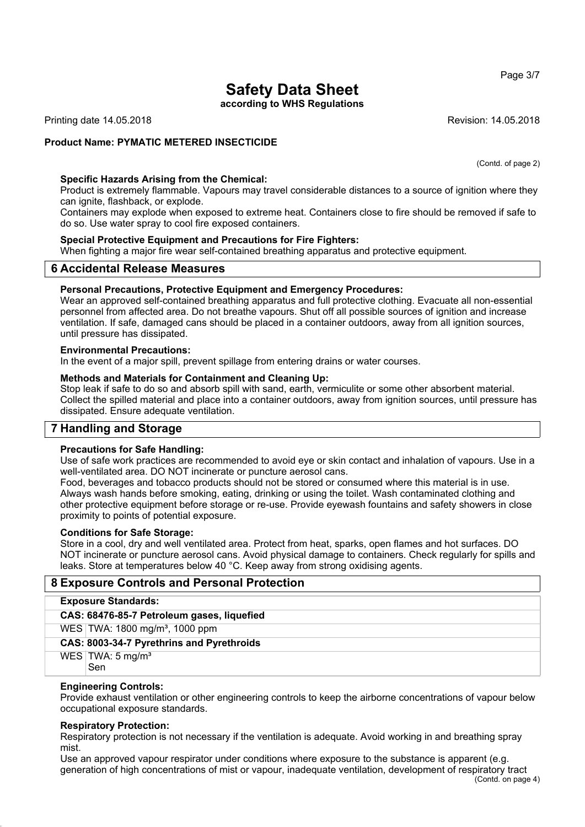**according to WHS Regulations**

Printing date 14.05.2018 **Revision: 14.05.2018** Revision: 14.05.2018

#### **Product Name: PYMATIC METERED INSECTICIDE**

(Contd. of page 2)

#### **Specific Hazards Arising from the Chemical:**

Product is extremely flammable. Vapours may travel considerable distances to a source of ignition where they can ignite, flashback, or explode.

Containers may explode when exposed to extreme heat. Containers close to fire should be removed if safe to do so. Use water spray to cool fire exposed containers.

#### **Special Protective Equipment and Precautions for Fire Fighters:**

When fighting a major fire wear self-contained breathing apparatus and protective equipment.

#### **6 Accidental Release Measures**

#### **Personal Precautions, Protective Equipment and Emergency Procedures:**

Wear an approved self-contained breathing apparatus and full protective clothing. Evacuate all non-essential personnel from affected area. Do not breathe vapours. Shut off all possible sources of ignition and increase ventilation. If safe, damaged cans should be placed in a container outdoors, away from all ignition sources, until pressure has dissipated.

#### **Environmental Precautions:**

In the event of a major spill, prevent spillage from entering drains or water courses.

#### **Methods and Materials for Containment and Cleaning Up:**

Stop leak if safe to do so and absorb spill with sand, earth, vermiculite or some other absorbent material. Collect the spilled material and place into a container outdoors, away from ignition sources, until pressure has dissipated. Ensure adequate ventilation.

# **7 Handling and Storage**

#### **Precautions for Safe Handling:**

Use of safe work practices are recommended to avoid eye or skin contact and inhalation of vapours. Use in a well-ventilated area. DO NOT incinerate or puncture aerosol cans.

Food, beverages and tobacco products should not be stored or consumed where this material is in use. Always wash hands before smoking, eating, drinking or using the toilet. Wash contaminated clothing and other protective equipment before storage or re-use. Provide eyewash fountains and safety showers in close proximity to points of potential exposure.

#### **Conditions for Safe Storage:**

Store in a cool, dry and well ventilated area. Protect from heat, sparks, open flames and hot surfaces. DO NOT incinerate or puncture aerosol cans. Avoid physical damage to containers. Check regularly for spills and leaks. Store at temperatures below 40 °C. Keep away from strong oxidising agents.

# **8 Exposure Controls and Personal Protection**

| <b>Exposure Standards:</b>                 |
|--------------------------------------------|
| CAS: 68476-85-7 Petroleum gases, liquefied |
| WES TWA: 1800 mg/m <sup>3</sup> , 1000 ppm |
| CAS: 8003-34-7 Pyrethrins and Pyrethroids  |
| WES   TWA: $5 \text{ mg/m}^3$<br>Sen       |

#### **Engineering Controls:**

Provide exhaust ventilation or other engineering controls to keep the airborne concentrations of vapour below occupational exposure standards.

#### **Respiratory Protection:**

Respiratory protection is not necessary if the ventilation is adequate. Avoid working in and breathing spray mist.

Use an approved vapour respirator under conditions where exposure to the substance is apparent (e.g. generation of high concentrations of mist or vapour, inadequate ventilation, development of respiratory tract

Page 3/7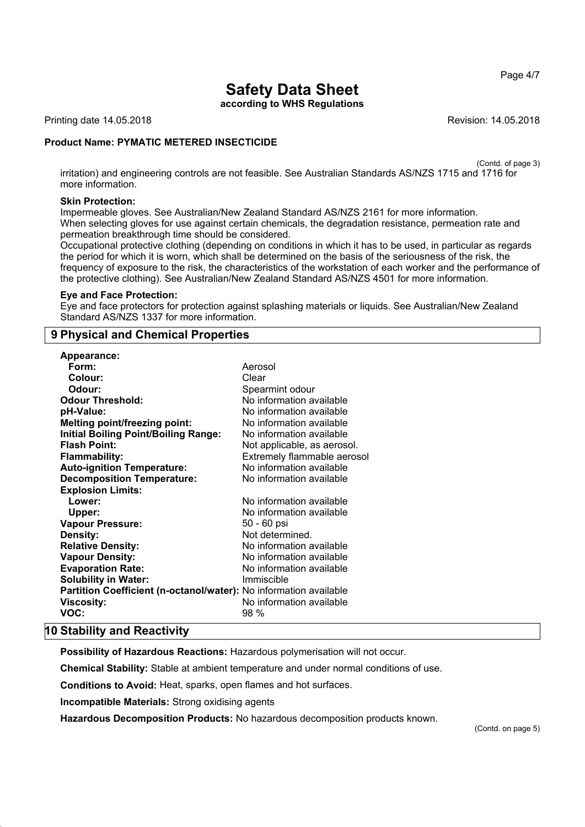Page 4/7

# **Safety Data Sheet**

**according to WHS Regulations**

Printing date 14.05.2018 **Revision: 14.05.2018** Revision: 14.05.2018

#### **Product Name: PYMATIC METERED INSECTICIDE**

(Contd. of page 3)

irritation) and engineering controls are not feasible. See Australian Standards AS/NZS 1715 and 1716 for more information.

#### **Skin Protection:**

Impermeable gloves. See Australian/New Zealand Standard AS/NZS 2161 for more information. When selecting gloves for use against certain chemicals, the degradation resistance, permeation rate and permeation breakthrough time should be considered.

Occupational protective clothing (depending on conditions in which it has to be used, in particular as regards the period for which it is worn, which shall be determined on the basis of the seriousness of the risk, the frequency of exposure to the risk, the characteristics of the workstation of each worker and the performance of the protective clothing). See Australian/New Zealand Standard AS/NZS 4501 for more information.

#### **Eye and Face Protection:**

Eye and face protectors for protection against splashing materials or liquids. See Australian/New Zealand Standard AS/NZS 1337 for more information.

# **9 Physical and Chemical Properties**

| Appearance:                                                              |                             |
|--------------------------------------------------------------------------|-----------------------------|
| Form:                                                                    | Aerosol                     |
| Colour:                                                                  | Clear                       |
| Odour:                                                                   | Spearmint odour             |
| <b>Odour Threshold:</b>                                                  | No information available    |
| pH-Value:                                                                | No information available    |
| <b>Melting point/freezing point:</b>                                     | No information available    |
| <b>Initial Boiling Point/Boiling Range:</b>                              | No information available    |
| <b>Flash Point:</b>                                                      | Not applicable, as aerosol. |
| <b>Flammability:</b>                                                     | Extremely flammable aerosol |
| <b>Auto-ignition Temperature:</b>                                        | No information available    |
| <b>Decomposition Temperature:</b>                                        | No information available    |
| <b>Explosion Limits:</b>                                                 |                             |
| Lower:                                                                   | No information available    |
| Upper:                                                                   | No information available    |
| <b>Vapour Pressure:</b>                                                  | 50 - 60 psi                 |
| Density:                                                                 | Not determined.             |
| <b>Relative Density:</b>                                                 | No information available    |
| <b>Vapour Density:</b>                                                   | No information available    |
| <b>Evaporation Rate:</b>                                                 | No information available    |
| <b>Solubility in Water:</b>                                              | Immiscible                  |
| <b>Partition Coefficient (n-octanol/water):</b> No information available |                             |
| <b>Viscosity:</b>                                                        | No information available    |
| VOC:                                                                     | 98 %                        |

#### **10 Stability and Reactivity**

**Possibility of Hazardous Reactions:** Hazardous polymerisation will not occur.

**Chemical Stability:** Stable at ambient temperature and under normal conditions of use.

**Conditions to Avoid:** Heat, sparks, open flames and hot surfaces.

**Incompatible Materials:** Strong oxidising agents

**Hazardous Decomposition Products:** No hazardous decomposition products known.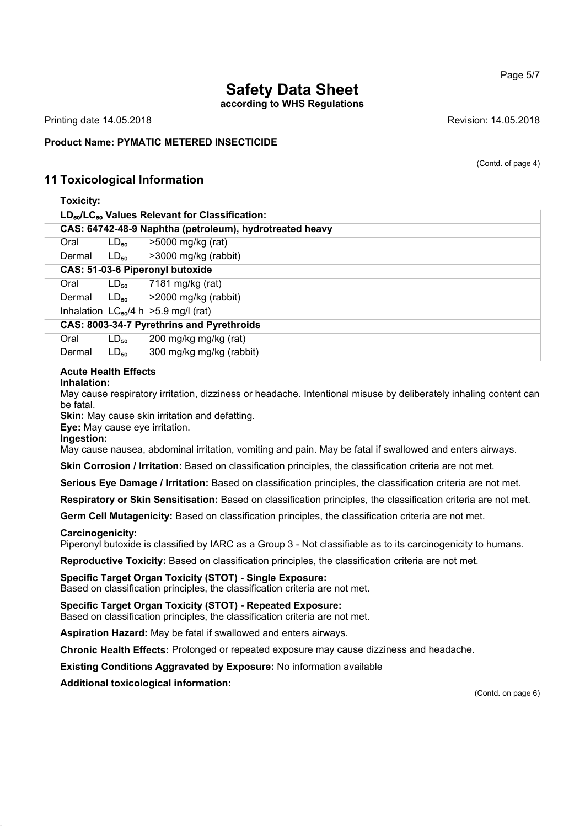**according to WHS Regulations**

Printing date 14.05.2018 **Revision: 14.05.2018** Revision: 14.05.2018

#### **Product Name: PYMATIC METERED INSECTICIDE**

(Contd. of page 4)

# **11 Toxicological Information**

| <b>Toxicity:</b>                                                       |           |                                                         |
|------------------------------------------------------------------------|-----------|---------------------------------------------------------|
| LD <sub>50</sub> /LC <sub>50</sub> Values Relevant for Classification: |           |                                                         |
|                                                                        |           | CAS: 64742-48-9 Naphtha (petroleum), hydrotreated heavy |
| Oral                                                                   | $LD_{50}$ | >5000 mg/kg (rat)                                       |
| Dermal                                                                 | $LD_{50}$ | >3000 mg/kg (rabbit)                                    |
|                                                                        |           | CAS: 51-03-6 Piperonyl butoxide                         |
| Oral                                                                   | $LD_{50}$ | 7181 mg/kg (rat)                                        |
| Dermal                                                                 | $LD_{50}$ | >2000 mg/kg (rabbit)                                    |
|                                                                        |           | Inhalation $ LC_{50}/4 h  > 5.9$ mg/l (rat)             |
|                                                                        |           | CAS: 8003-34-7 Pyrethrins and Pyrethroids               |
| Oral                                                                   | $LD_{50}$ | 200 mg/kg mg/kg (rat)                                   |
| Dermal                                                                 | $LD_{50}$ | 300 mg/kg mg/kg (rabbit)                                |

#### **Acute Health Effects**

#### **Inhalation:**

May cause respiratory irritation, dizziness or headache. Intentional misuse by deliberately inhaling content can be fatal.

**Skin:** May cause skin irritation and defatting.

**Eye:** May cause eye irritation.

**Ingestion:**

May cause nausea, abdominal irritation, vomiting and pain. May be fatal if swallowed and enters airways.

**Skin Corrosion / Irritation:** Based on classification principles, the classification criteria are not met.

**Serious Eye Damage / Irritation:** Based on classification principles, the classification criteria are not met.

**Respiratory or Skin Sensitisation:** Based on classification principles, the classification criteria are not met.

**Germ Cell Mutagenicity:** Based on classification principles, the classification criteria are not met.

#### **Carcinogenicity:**

Piperonyl butoxide is classified by IARC as a Group 3 - Not classifiable as to its carcinogenicity to humans.

**Reproductive Toxicity:** Based on classification principles, the classification criteria are not met.

#### **Specific Target Organ Toxicity (STOT) - Single Exposure:**

Based on classification principles, the classification criteria are not met.

#### **Specific Target Organ Toxicity (STOT) - Repeated Exposure:**

Based on classification principles, the classification criteria are not met.

**Aspiration Hazard:** May be fatal if swallowed and enters airways.

**Chronic Health Effects:** Prolonged or repeated exposure may cause dizziness and headache.

**Existing Conditions Aggravated by Exposure:** No information available

**Additional toxicological information:**

(Contd. on page 6)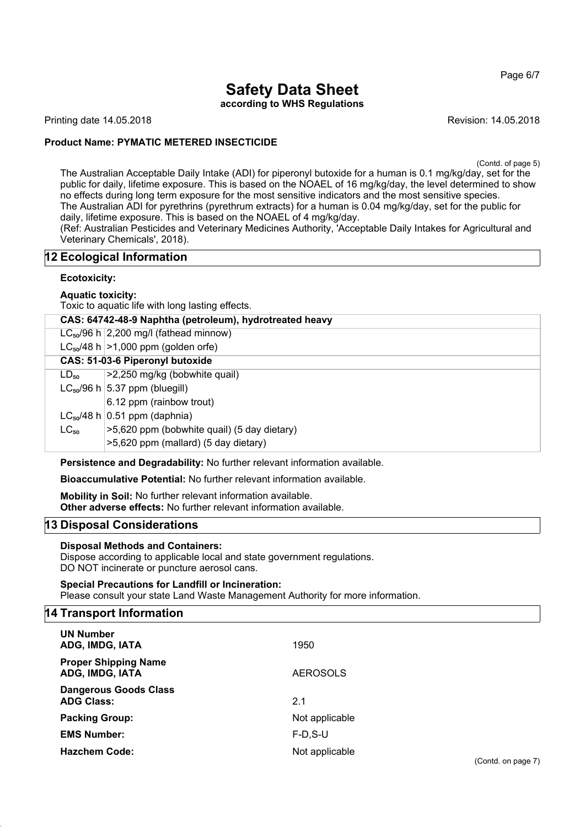Page 6/7

# **Safety Data Sheet according to WHS Regulations**

Printing date 14.05.2018 **Revision: 14.05.2018** Revision: 14.05.2018

# **Product Name: PYMATIC METERED INSECTICIDE**

(Contd. of page 5)

The Australian Acceptable Daily Intake (ADI) for piperonyl butoxide for a human is 0.1 mg/kg/day, set for the public for daily, lifetime exposure. This is based on the NOAEL of 16 mg/kg/day, the level determined to show no effects during long term exposure for the most sensitive indicators and the most sensitive species. The Australian ADI for pyrethrins (pyrethrum extracts) for a human is 0.04 mg/kg/day, set for the public for daily, lifetime exposure. This is based on the NOAEL of 4 mg/kg/day.

(Ref: Australian Pesticides and Veterinary Medicines Authority, 'Acceptable Daily Intakes for Agricultural and Veterinary Chemicals', 2018).

# **12 Ecological Information**

#### **Ecotoxicity:**

**Aquatic toxicity:**

Toxic to aquatic life with long lasting effects.

|           | CAS: 64742-48-9 Naphtha (petroleum), hydrotreated heavy               |  |
|-----------|-----------------------------------------------------------------------|--|
|           | $LC_{50}/96$ h 2,200 mg/l (fathead minnow)                            |  |
|           | $LC_{50}/48$ h $>1,000$ ppm (golden orfe)                             |  |
|           | CAS: 51-03-6 Piperonyl butoxide                                       |  |
| $LD_{50}$ | >2,250 mg/kg (bobwhite quail)                                         |  |
|           | $LC_{50}/96$ h $ 5.37$ ppm (bluegill)                                 |  |
|           | 6.12 ppm (rainbow trout)                                              |  |
|           | $LC_{50}/48$ h 0.51 ppm (daphnia)                                     |  |
| $LC_{50}$ | >5,620 ppm (bobwhite quail) (5 day dietary)                           |  |
|           | >5,620 ppm (mallard) (5 day dietary)                                  |  |
|           | Denstatense sol Demodel: Blun Na funksion i kunt information in india |  |

**Persistence and Degradability:** No further relevant information available.

**Bioaccumulative Potential:** No further relevant information available.

**Mobility in Soil:** No further relevant information available. **Other adverse effects:** No further relevant information available.

# **13 Disposal Considerations**

#### **Disposal Methods and Containers:**

Dispose according to applicable local and state government regulations. DO NOT incinerate or puncture aerosol cans.

**Special Precautions for Landfill or Incineration:** Please consult your state Land Waste Management Authority for more information.

# **14 Transport Information**

| <b>UN Number</b><br>ADG, IMDG, IATA               | 1950            |
|---------------------------------------------------|-----------------|
| <b>Proper Shipping Name</b><br>ADG, IMDG, IATA    | <b>AEROSOLS</b> |
| <b>Dangerous Goods Class</b><br><b>ADG Class:</b> | 2.1             |
| <b>Packing Group:</b>                             | Not applicable  |
| <b>EMS Number:</b>                                | $F-D.S-U$       |
| <b>Hazchem Code:</b>                              | Not applicable  |